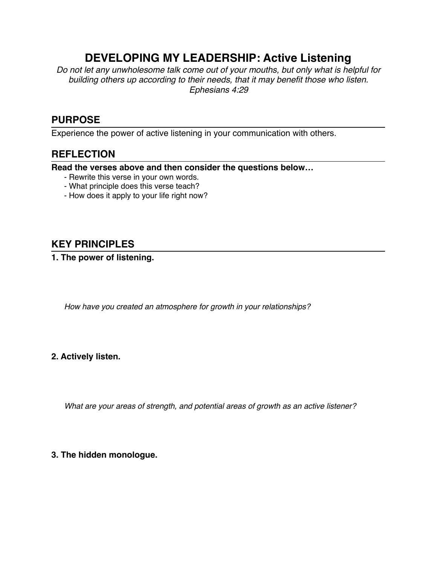# **DEVELOPING MY LEADERSHIP: Active Listening**

*Do not let any unwholesome talk come out of your mouths, but only what is helpful for building others up according to their needs, that it may benefit those who listen. Ephesians 4:29*

# **PURPOSE**

Experience the power of active listening in your communication with others.

### **REFLECTION**

**Read the verses above and then consider the questions below…**

- Rewrite this verse in your own words.
- What principle does this verse teach?
- How does it apply to your life right now?

## **KEY PRINCIPLES**

**1. The power of listening.**

*How have you created an atmosphere for growth in your relationships?*

#### **2. Actively listen.**

*What are your areas of strength, and potential areas of growth as an active listener?*

#### **3. The hidden monologue.**